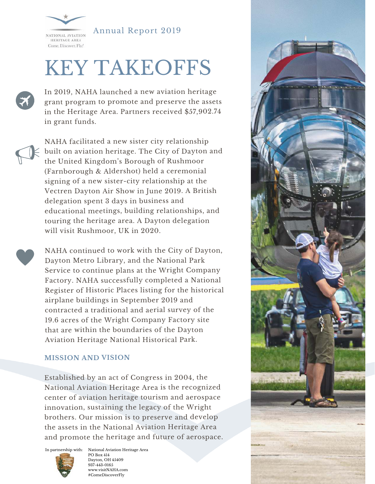

Annual Report 2019

# KEY TAKEOFFS

In 2019, NAHA launched a new aviation heritage grant program to promote and preserve the assets in the Heritage Area. Partners received \$57,902.74 in grant funds.

NAHA facilitated a new sister city relationship built on aviation heritage. The City of Dayton and the United Kingdom's Borough of Rushmoor (Farnborough & Aldershot) held a ceremonial signing of a new sister-city relationship at the Vectren Dayton Air Show in June 2019. A British delegation spent 3 days in business and educational meetings, building relationships, and touring the heritage area. A Dayton delegation will visit Rushmoor, UK in 2020.

NAHA continued to work with the City of Dayton, Dayton Metro Library, and the National Park Service to continue plans at the Wright Company Factory. NAHA successfully completed a National Register of Historic Places listing for the historical airplane buildings in September 2019 and contracted a traditional and aerial survey of the 19.6 acres of the Wright Company Factory site that are within the boundaries of the Dayton Aviation Heritage National Historical Park.

#### **MISSION AND VISION**

Established by an act of Congress in 2004, the National Aviation Heritage Area is the recognized center of aviation heritage tourism and aerospace innovation, sustaining the legacy of the Wright brothers. Our mission is to preserve and develop the assets in the National Aviation Heritage Area and promote the heritage and future of aerospace.



PO Box 414 Dayton, OH 45409 937-443-0165 www.visitNAHA.com #ComeDiscoverFly